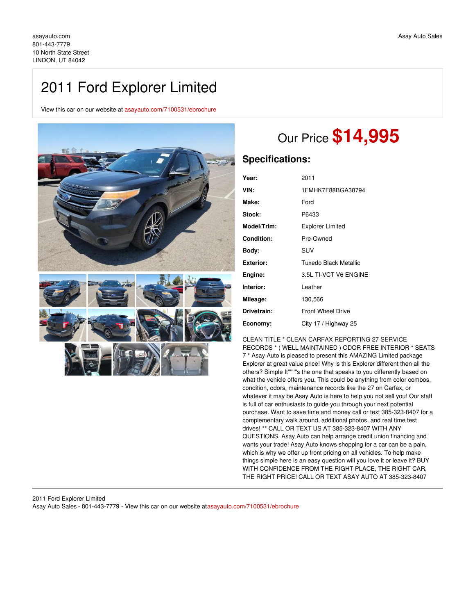# 2011 Ford Explorer Limited

View this car on our website at [asayauto.com/7100531/ebrochure](https://asayauto.com/vehicle/7100531/2011-ford-explorer-limited-lindon-ut-84042/7100531/ebrochure)



# Our Price **\$14,995**

### **Specifications:**

| Year:             | 2011                     |
|-------------------|--------------------------|
| VIN:              | 1FMHK7F88BGA38794        |
| Make:             | Ford                     |
| Stock:            | P6433                    |
| Model/Trim:       | <b>Explorer Limited</b>  |
| <b>Condition:</b> | Pre-Owned                |
| Body:             | SUV                      |
| <b>Exterior:</b>  | Tuxedo Black Metallic    |
| Engine:           | 3.5L TI-VCT V6 FNGINE    |
| Interior:         | Leather                  |
| Mileage:          | 130,566                  |
| Drivetrain:       | <b>Front Wheel Drive</b> |
| Economy:          | City 17 / Highway 25     |

CLEAN TITLE \* CLEAN CARFAX REPORTING 27 SERVICE RECORDS \* ( WELL MAINTAINED ) ODOR FREE INTERIOR \* SEATS 7 \* Asay Auto is pleased to present this AMAZING Limited package Explorer at great value price! Why is this Explorer different then all the others? Simple It''''''''s the one that speaks to you differently based on what the vehicle offers you. This could be anything from color combos, condition, odors, maintenance records like the 27 on Carfax, or whatever it may be Asay Auto is here to help you not sell you! Our staff is full of car enthusiasts to guide you through your next potential purchase. Want to save time and money call or text 385-323-8407 for a complementary walk around, additional photos, and real time test drives! \*\* CALL OR TEXT US AT 385-323-8407 WITH ANY QUESTIONS. Asay Auto can help arrange credit union financing and wants your trade! Asay Auto knows shopping for a car can be a pain, which is why we offer up front pricing on all vehicles. To help make things simple here is an easy question will you love it or leave it? BUY WITH CONFIDENCE FROM THE RIGHT PLACE, THE RIGHT CAR, THE RIGHT PRICE! CALL OR TEXT ASAY AUTO AT 385-323-8407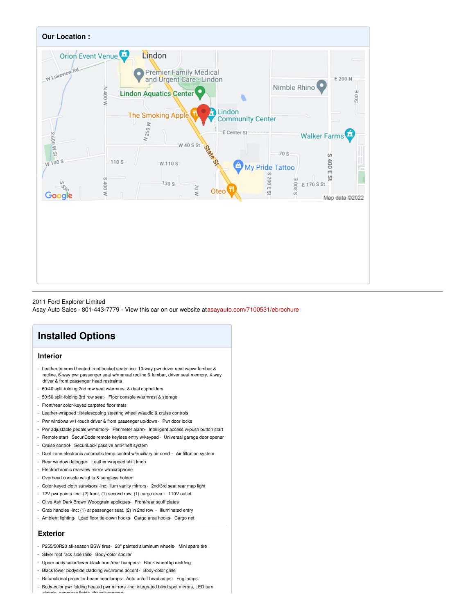

#### 2011 Ford Explorer Limited

Asay Auto Sales - 801-443-7779 - View this car on our website at[asayauto.com/7100531/ebrochure](https://asayauto.com/vehicle/7100531/2011-ford-explorer-limited-lindon-ut-84042/7100531/ebrochure)

## **Installed Options**

#### **Interior**

- Leather trimmed heated front bucket seats -inc: 10-way pwr driver seat w/pwr lumbar & recline, 6-way pwr passenger seat w/manual recline & lumbar, driver seat memory, 4-way driver & front passenger head restraints
- 60/40 split-folding 2nd row seat w/armrest & dual cupholders
- 50/50 split-folding 3rd row seat- Floor console w/armrest & storage
- Front/rear color-keyed carpeted floor mats
- Leather-wrapped tilt/telescoping steering wheel w/audio & cruise controls
- Pwr windows w/1-touch driver & front passenger up/down- Pwr door locks
- Pwr adjustable pedals w/memory- Perimeter alarm- Intelligent access w/push button start
- Remote start-SecuriCode remote keyless entry w/keypad Universal garage door opener
- Cruise control- SecuriLock passive anti-theft system
- Dual zone electronic automatic temp control w/auxiliary air cond Air filtration system
- Rear window defogger- Leather wrapped shift knob
- Electrochromic rearview mirror w/microphone
- Overhead console w/lights & sunglass holder
- Color-keyed cloth sunvisors -inc: illum vanity mirrors- 2nd/3rd seat rear map light
- 12V pwr points -inc: (2) front, (1) second row, (1) cargo area 110V outlet
- Olive Ash Dark Brown Woodgrain appliques- Front/rear scuff plates
- Grab handles -inc: (1) at passenger seat, (2) in 2nd row Illuminated entry
- Ambient lighting- Load floor tie-down hooks- Cargo area hooks- Cargo net

#### **Exterior**

- P255/50R20 all-season BSW tires- 20" painted aluminum wheels- Mini spare tire
- Silver roof rack side rails- Body-color spoiler
- Upper body color/lower black front/rear bumpers- Black wheel lip molding
- Black lower bodyside cladding w/chrome accent- Body-color grille
- Bi-functional projector beam headlamps- Auto on/off headlamps- Fog lamps
- Body-color pwr folding heated pwr mirrors -inc: integrated blind spot mirrors, LED turn signals, approach lights, driver's memory